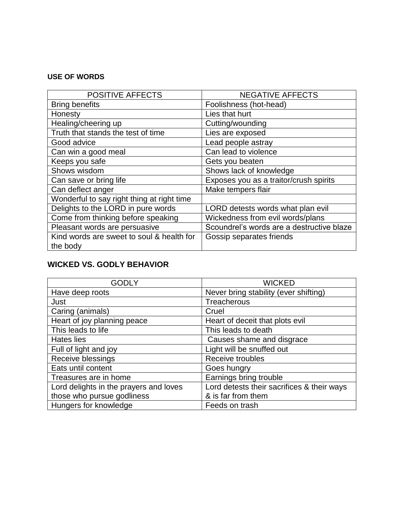### **USE OF WORDS**

| <b>POSITIVE AFFECTS</b>                    | <b>NEGATIVE AFFECTS</b>                   |
|--------------------------------------------|-------------------------------------------|
| <b>Bring benefits</b>                      | Foolishness (hot-head)                    |
| Honesty                                    | Lies that hurt                            |
| Healing/cheering up                        | Cutting/wounding                          |
| Truth that stands the test of time         | Lies are exposed                          |
| Good advice                                | Lead people astray                        |
| Can win a good meal                        | Can lead to violence                      |
| Keeps you safe                             | Gets you beaten                           |
| Shows wisdom                               | Shows lack of knowledge                   |
| Can save or bring life                     | Exposes you as a traitor/crush spirits    |
| Can deflect anger                          | Make tempers flair                        |
| Wonderful to say right thing at right time |                                           |
| Delights to the LORD in pure words         | LORD detests words what plan evil         |
| Come from thinking before speaking         | Wickedness from evil words/plans          |
| Pleasant words are persuasive              | Scoundrel's words are a destructive blaze |
| Kind words are sweet to soul & health for  | Gossip separates friends                  |
| the body                                   |                                           |

## **WICKED VS. GODLY BEHAVIOR**

| GODLY                                  | <b>WICKED</b>                              |
|----------------------------------------|--------------------------------------------|
| Have deep roots                        | Never bring stability (ever shifting)      |
| Just                                   | Treacherous                                |
| Caring (animals)                       | Cruel                                      |
| Heart of joy planning peace            | Heart of deceit that plots evil            |
| This leads to life                     | This leads to death                        |
| Hates lies                             | Causes shame and disgrace                  |
| Full of light and joy                  | Light will be snuffed out                  |
| Receive blessings                      | Receive troubles                           |
| Eats until content                     | Goes hungry                                |
| Treasures are in home                  | Earnings bring trouble                     |
| Lord delights in the prayers and loves | Lord detests their sacrifices & their ways |
| those who pursue godliness             | & is far from them                         |
| Hungers for knowledge                  | Feeds on trash                             |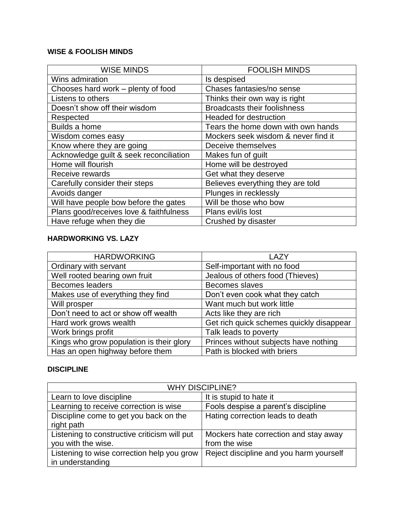## **WISE & FOOLISH MINDS**

| <b>WISE MINDS</b>                       | <b>FOOLISH MINDS</b>                |
|-----------------------------------------|-------------------------------------|
| Wins admiration                         | Is despised                         |
| Chooses hard work - plenty of food      | Chases fantasies/no sense           |
| Listens to others                       | Thinks their own way is right       |
| Doesn't show off their wisdom           | <b>Broadcasts their foolishness</b> |
| Respected                               | <b>Headed for destruction</b>       |
| Builds a home                           | Tears the home down with own hands  |
| Wisdom comes easy                       | Mockers seek wisdom & never find it |
| Know where they are going               | Deceive themselves                  |
| Acknowledge guilt & seek reconciliation | Makes fun of guilt                  |
| Home will flourish                      | Home will be destroyed              |
| Receive rewards                         | Get what they deserve               |
| Carefully consider their steps          | Believes everything they are told   |
| Avoids danger                           | Plunges in recklessly               |
| Will have people bow before the gates   | Will be those who bow               |
| Plans good/receives love & faithfulness | Plans evil/is lost                  |
| Have refuge when they die               | Crushed by disaster                 |

### **HARDWORKING VS. LAZY**

| <b>HARDWORKING</b>                       | LAZY                                     |
|------------------------------------------|------------------------------------------|
| Ordinary with servant                    | Self-important with no food              |
| Well rooted bearing own fruit            | Jealous of others food (Thieves)         |
| <b>Becomes leaders</b>                   | Becomes slaves                           |
| Makes use of everything they find        | Don't even cook what they catch          |
| Will prosper                             | Want much but work little                |
| Don't need to act or show off wealth     | Acts like they are rich                  |
| Hard work grows wealth                   | Get rich quick schemes quickly disappear |
| Work brings profit                       | Talk leads to poverty                    |
| Kings who grow population is their glory | Princes without subjects have nothing    |
| Has an open highway before them          | Path is blocked with briers              |

#### **DISCIPLINE**

| <b>WHY DISCIPLINE?</b>                       |                                         |
|----------------------------------------------|-----------------------------------------|
| Learn to love discipline                     | It is stupid to hate it                 |
| Learning to receive correction is wise       | Fools despise a parent's discipline     |
| Discipline come to get you back on the       | Hating correction leads to death        |
| right path                                   |                                         |
| Listening to constructive criticism will put | Mockers hate correction and stay away   |
| you with the wise.                           | from the wise                           |
| Listening to wise correction help you grow   | Reject discipline and you harm yourself |
| in understanding                             |                                         |